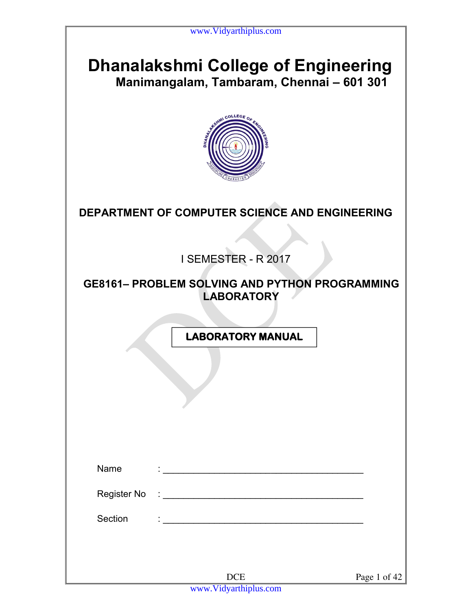# **Dhanalakshmi College of Engineering Manimangalam, Tambaram, Chennai – 601 301**



**DEPARTMENT OF COMPUTER SCIENCE AND ENGINEERING** 

I SEMESTER - R 2017

### **GE8161– PROBLEM SOLVING AND PYTHON PROGRAMMING LABORATORY**

 **LABORATORY MANUAL**

| Name        | $\cdot$                             |              |
|-------------|-------------------------------------|--------------|
|             |                                     |              |
| Register No |                                     |              |
| Section     | $\blacksquare$                      |              |
|             |                                     |              |
|             |                                     |              |
|             | <b>DCE</b><br>www.Vidyarthiplus.com | Page 1 of 42 |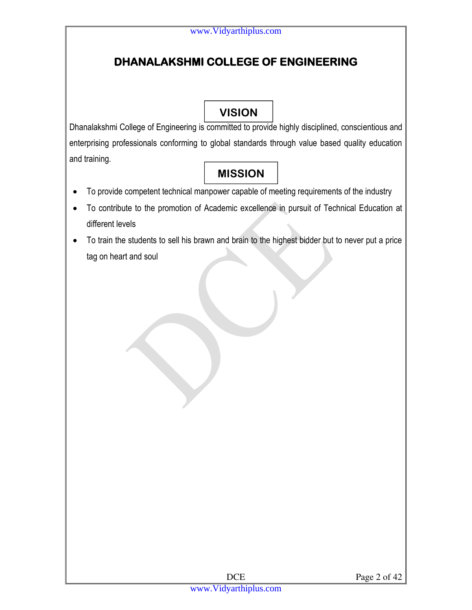# **DHANALAKSHMI COLLEGE OF ENGINEERING**

# **VISION**

Dhanalakshmi College of Engineering is committed to provide highly disciplined, conscientious and enterprising professionals conforming to global standards through value based quality education and training.

# **MISSION**

- To provide competent technical manpower capable of meeting requirements of the industry
- To contribute to the promotion of Academic excellence in pursuit of Technical Education at different levels
- To train the students to sell his brawn and brain to the highest bidder but to never put a price tag on heart and soul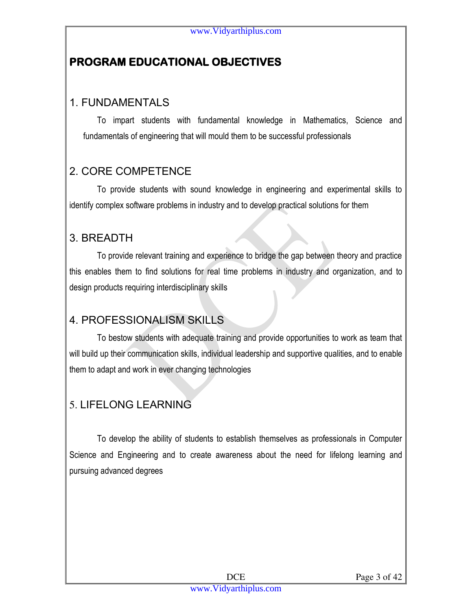# **PROGRAM EDUCATIONAL OBJECTIVES**

# 1. FUNDAMENTALS

To impart students with fundamental knowledge in Mathematics, Science and fundamentals of engineering that will mould them to be successful professionals

# 2. CORE COMPETENCE

To provide students with sound knowledge in engineering and experimental skills to identify complex software problems in industry and to develop practical solutions for them

## 3. BREADTH

To provide relevant training and experience to bridge the gap between theory and practice this enables them to find solutions for real time problems in industry and organization, and to design products requiring interdisciplinary skills

## 4. PROFESSIONALISM SKILLS

To bestow students with adequate training and provide opportunities to work as team that will build up their communication skills, individual leadership and supportive qualities, and to enable them to adapt and work in ever changing technologies

# 5. LIFELONG LEARNING

To develop the ability of students to establish themselves as professionals in Computer Science and Engineering and to create awareness about the need for lifelong learning and pursuing advanced degrees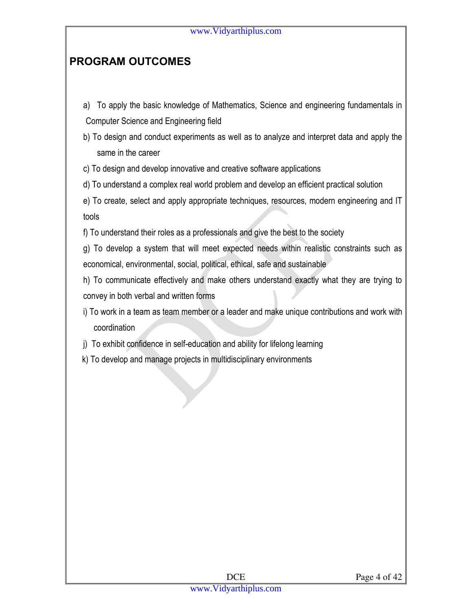# **PROGRAM OUTCOMES**

- a) To apply the basic knowledge of Mathematics, Science and engineering fundamentals in Computer Science and Engineering field
- b) To design and conduct experiments as well as to analyze and interpret data and apply the same in the career

c) To design and develop innovative and creative software applications

d) To understand a complex real world problem and develop an efficient practical solution

e) To create, select and apply appropriate techniques, resources, modern engineering and IT tools

f) To understand their roles as a professionals and give the best to the society

g) To develop a system that will meet expected needs within realistic constraints such as economical, environmental, social, political, ethical, safe and sustainable

h) To communicate effectively and make others understand exactly what they are trying to convey in both verbal and written forms

i) To work in a team as team member or a leader and make unique contributions and work with coordination

j) To exhibit confidence in self-education and ability for lifelong learning

k) To develop and manage projects in multidisciplinary environments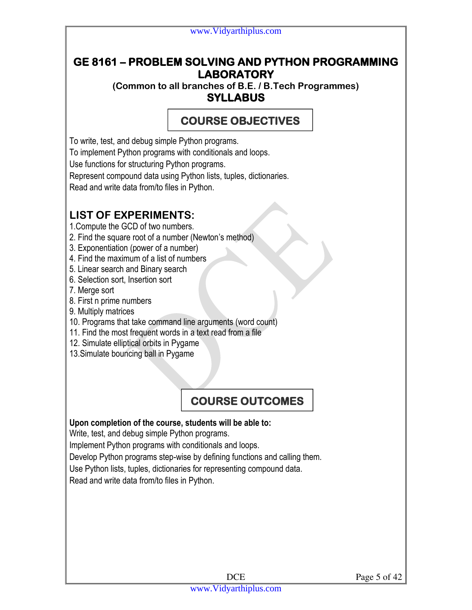### **GE 8161 – PROBLEM SOLVING AND PYTHON PROGRAMMING LABORATORY**

**(Common to all branches of B.E. / B.Tech Programmes) SYLLABUS** 

# **COURSE OBJECTIVES**

To write, test, and debug simple Python programs.

To implement Python programs with conditionals and loops.

Use functions for structuring Python programs.

Represent compound data using Python lists, tuples, dictionaries.

Read and write data from/to files in Python.

# **LIST OF EXPERIMENTS:**

1.Compute the GCD of two numbers.

- 2. Find the square root of a number (Newton's method)
- 3. Exponentiation (power of a number)
- 4. Find the maximum of a list of numbers
- 5. Linear search and Binary search
- 6. Selection sort, Insertion sort
- 7. Merge sort
- 8. First n prime numbers
- 9. Multiply matrices
- 10. Programs that take command line arguments (word count)
- 11. Find the most frequent words in a text read from a file
- 12. Simulate elliptical orbits in Pygame
- 13.Simulate bouncing ball in Pygame

# **COURSE OUTCOMES**

#### **Upon completion of the course, students will be able to:**

Write, test, and debug simple Python programs.

Implement Python programs with conditionals and loops.

Develop Python programs step-wise by defining functions and calling them.

Use Python lists, tuples, dictionaries for representing compound data.

Read and write data from/to files in Python.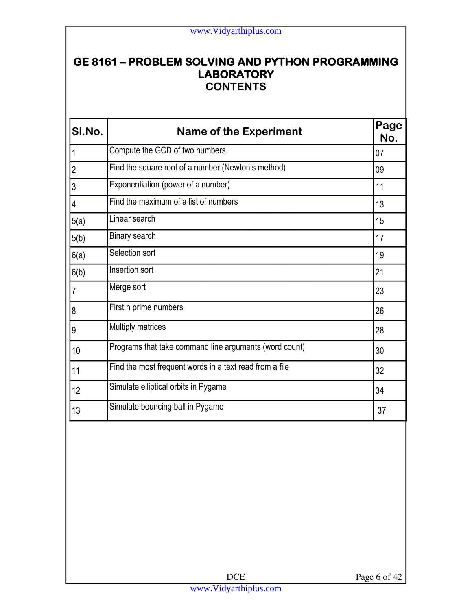### **GE 8161 – PROBLEM SOLVING AND PYTHON PROGRAMMING LABORATORY CONTENTS**

| <b>Name of the Experiment</b>                           | Page<br>No. |
|---------------------------------------------------------|-------------|
| Compute the GCD of two numbers.                         | 07          |
| Find the square root of a number (Newton's method)      | 09          |
| Exponentiation (power of a number)                      | 11          |
| Find the maximum of a list of numbers                   | 13          |
| Linear search                                           | 15          |
| Binary search                                           | 17          |
| Selection sort                                          | 19          |
| Insertion sort                                          | 21          |
| Merge sort                                              | 23          |
| First n prime numbers                                   | 26          |
| Multiply matrices                                       | 28          |
| Programs that take command line arguments (word count)  | 30          |
| Find the most frequent words in a text read from a file | 32          |
| Simulate elliptical orbits in Pygame                    | 34          |
| Simulate bouncing ball in Pygame                        | 37          |
|                                                         |             |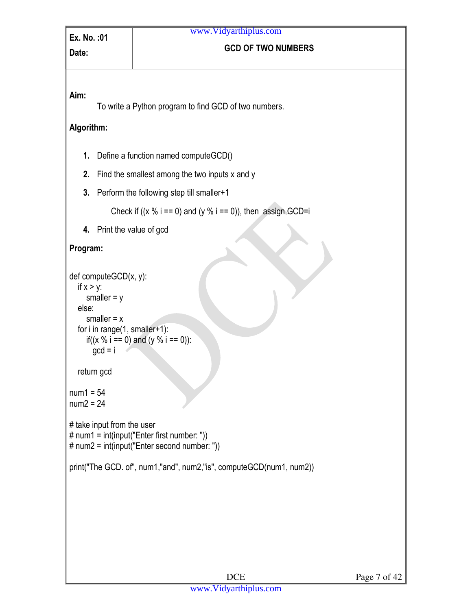# **Date: COD OF TWO NUMBERS**

#### **Aim:**

To write a Python program to find GCD of two numbers.

#### **Algorithm:**

- **1.** Define a function named computeGCD()
- **2.** Find the smallest among the two inputs x and y
- **3.** Perform the following step till smaller+1

Check if  $((x \frac{9}{6})^{1} = 0)$  and  $(y \frac{9}{6})^{1} = 0)$ , then assign GCD=i

**4.** Print the value of gcd

#### **Program:**

```
def computeGCD(x, y): 
  if x > y:
     smaller = y else: 
     smaller = x for i in range(1, smaller+1): 
     if((x % i == 0) and (y % i == 0)):
      gcd = i
```
return gcd

```
num1 = 54num2 = 24
```

```
# take input from the user 
# num1 = int(input("Enter first number: ")) 
# num2 = int(input("Enter second number: "))
```

```
print("The GCD. of", num1,"and", num2,"is", computeGCD(num1, num2))
```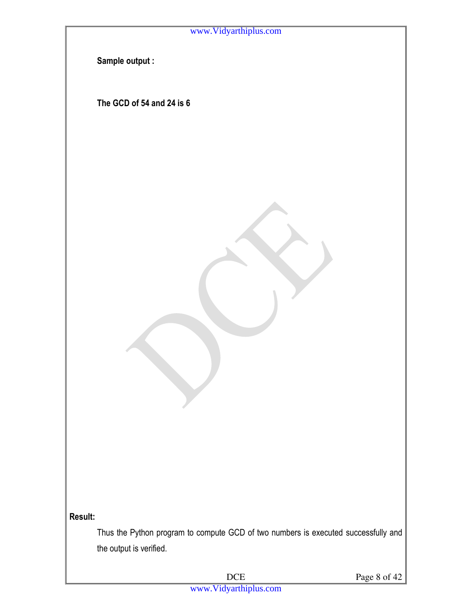

DCE Page 8 of 42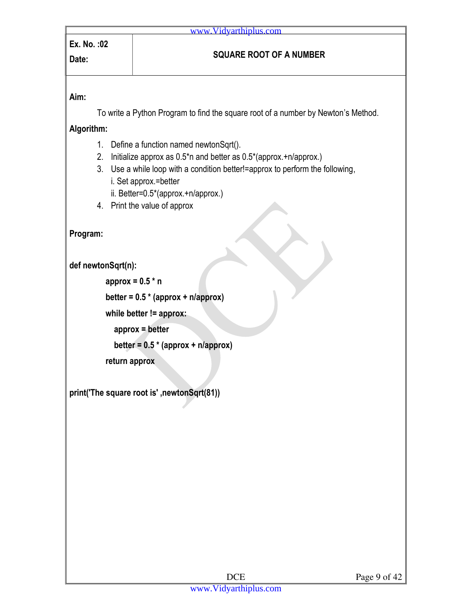To write a Python Program to find the square root of a number by Newton's Method.

**Algorithm:** 

- 1. Define a function named newtonSqrt().
- 2. Initialize approx as 0.5\*n and better as 0.5\*(approx.+n/approx.)
- 3. Use a while loop with a condition better!=approx to perform the following, i. Set approx.=better
	- ii. Better=0.5\*(approx.+n/approx.)
- 4. Print the value of approx

**Program:** 

**def newtonSqrt(n):** 

 **approx = 0.5 \* n** 

 **better = 0.5 \* (approx + n/approx)** 

 **while better != approx:** 

 **approx = better** 

 **better = 0.5 \* (approx + n/approx)** 

 **return approx** 

**print('The square root is' ,newtonSqrt(81))**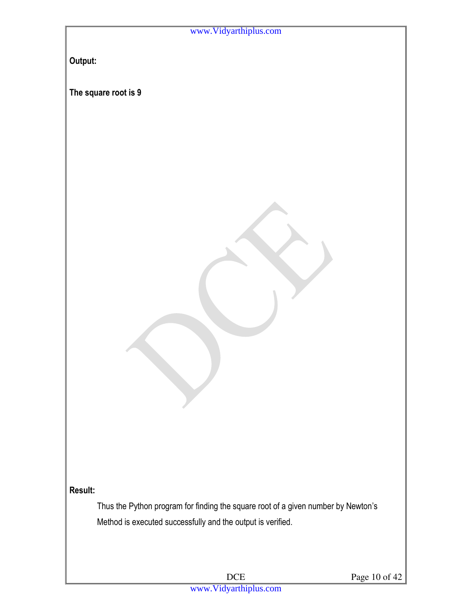| www.Vidyarthiplus.com                                                             |
|-----------------------------------------------------------------------------------|
|                                                                                   |
| Output:                                                                           |
|                                                                                   |
| The square root is 9                                                              |
|                                                                                   |
|                                                                                   |
|                                                                                   |
|                                                                                   |
|                                                                                   |
|                                                                                   |
|                                                                                   |
|                                                                                   |
|                                                                                   |
|                                                                                   |
|                                                                                   |
|                                                                                   |
|                                                                                   |
|                                                                                   |
|                                                                                   |
|                                                                                   |
|                                                                                   |
|                                                                                   |
|                                                                                   |
|                                                                                   |
|                                                                                   |
| Result:                                                                           |
| Thus the Python program for finding the square root of a given number by Newton's |
| Method is executed successfully and the output is verified.                       |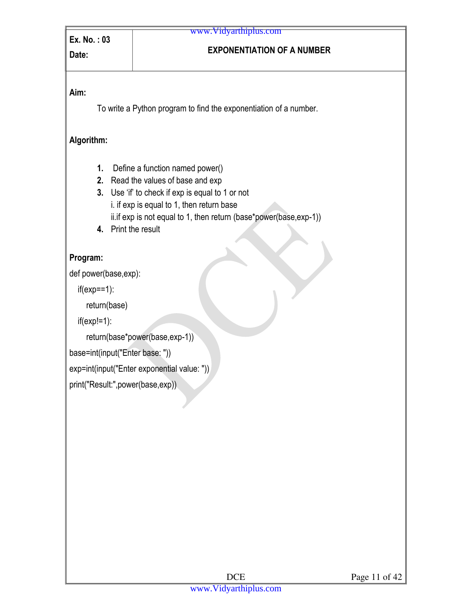# **Date: EXPONENTIATION OF A NUMBER**

#### **Aim:**

To write a Python program to find the exponentiation of a number.

#### **Algorithm:**

- **1.** Define a function named power()
- **2.** Read the values of base and exp
- **3.** Use 'if' to check if exp is equal to 1 or not i. if exp is equal to 1, then return base ii.if exp is not equal to 1, then return (base\*power(base,exp-1))
- **4.** Print the result

#### **Program:**

def power(base,exp):

if(exp==1):

return(base)

```
 if(exp!=1):
```

```
 return(base*power(base,exp-1))
```

```
base=int(input("Enter base: "))
```
exp=int(input("Enter exponential value: "))

print("Result:",power(base,exp))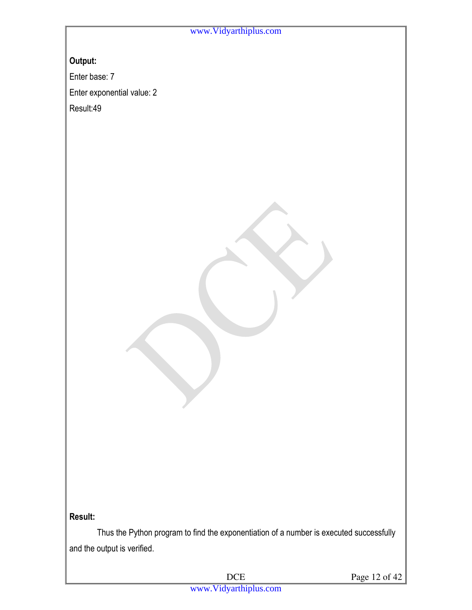**Output:**

Enter base: 7

Enter exponential value: 2

Result:49

#### **Result:**

Thus the Python program to find the exponentiation of a number is executed successfully and the output is verified.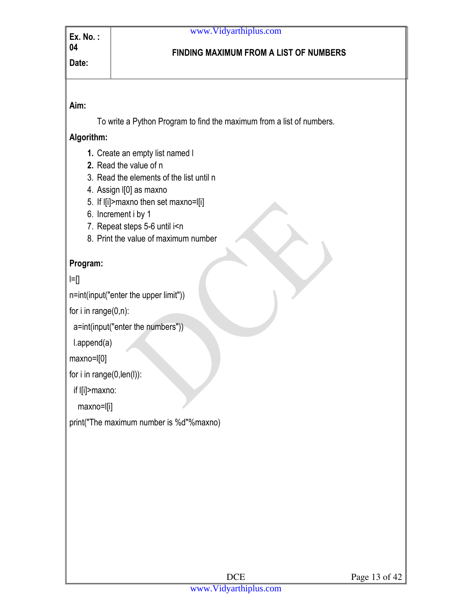#### **FINDING MAXIMUM FROM A LIST OF NUMBERS**

#### **Aim:**

To write a Python Program to find the maximum from a list of numbers.

#### **Algorithm:**

- **1.** Create an empty list named l
- **2.** Read the value of n
- 3. Read the elements of the list until n
- 4. Assign l[0] as maxno
- 5. If l[i]>maxno then set maxno=l[i]
- 6. Increment i by 1
- 7. Repeat steps 5-6 until i<n
- 8. Print the value of maximum number

### **Program:**

 $\equiv$ 

n=int(input("enter the upper limit"))

for i in range(0,n):

```
 a=int(input("enter the numbers"))
```
l.append(a)

maxno=l[0]

```
for i in range(0,len(l)):
```
if l[i]>maxno:

maxno=l[i]

print("The maximum number is %d"%maxno)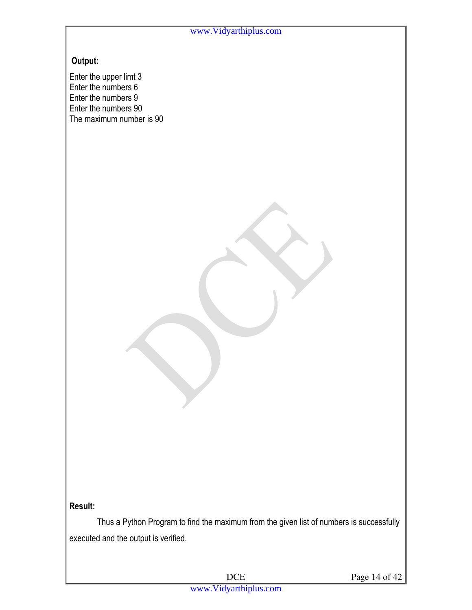#### **Output:**

Enter the upper limt 3 Enter the numbers 6 Enter the numbers 9 Enter the numbers 90 The maximum number is 90

#### **Result:**

 Thus a Python Program to find the maximum from the given list of numbers is successfully executed and the output is verified.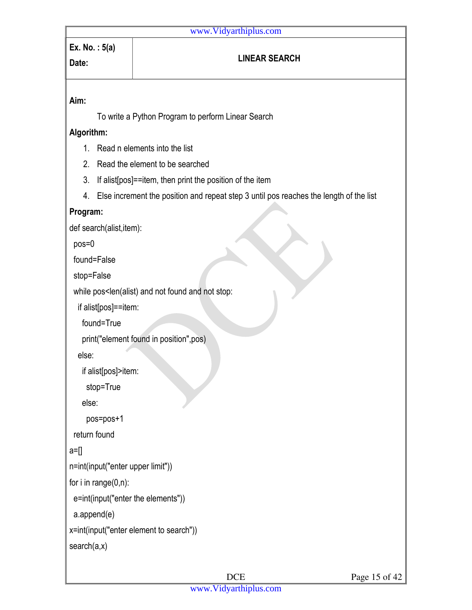# **Aim:** To write a Python Program to perform Linear Search **Algorithm:**  1. Read n elements into the list 2. Read the element to be searched 3. If alist[pos]==item, then print the position of the item 4. Else increment the position and repeat step 3 until pos reaches the length of the list **Program:**  def search(alist,item): pos=0 found=False stop=False while pos<len(alist) and not found and not stop: if alist[pos]==item: found=True print("element found in position",pos) else: if alist[pos]>item: stop=True else: pos=pos+1 return found  $a = []$ n=int(input("enter upper limit")) for i in range $(0,n)$ : e=int(input("enter the elements")) a.append(e) x=int(input("enter element to search")) search(a,x) **Ex. No. : 5(a) Date: LINEAR SEARCH**  www.Vidyarthiplus.com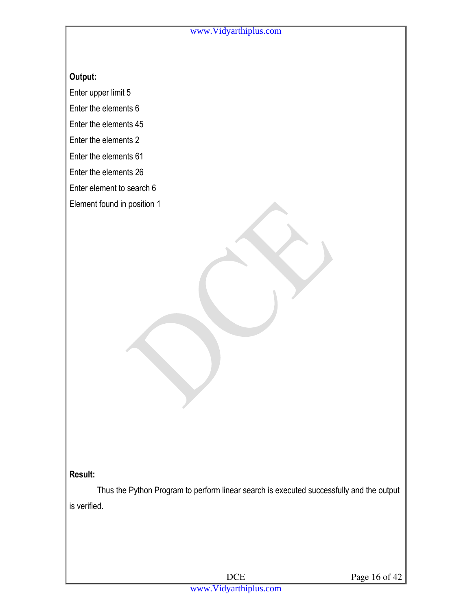#### **Output:**

Enter upper limit 5

Enter the elements 6

Enter the elements 45

Enter the elements 2

Enter the elements 61

Enter the elements 26

Enter element to search 6

Element found in position 1

#### **Result:**

Thus the Python Program to perform linear search is executed successfully and the output is verified.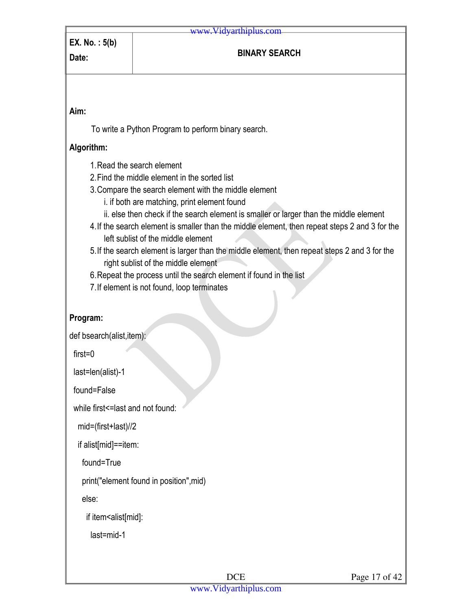# **Date: BINARY SEARCH**

**Aim:** 

To write a Python Program to perform binary search.

#### **Algorithm:**

- 1.Read the search element
- 2.Find the middle element in the sorted list
- 3.Compare the search element with the middle element
	- i. if both are matching, print element found
	- ii. else then check if the search element is smaller or larger than the middle element
- 4.If the search element is smaller than the middle element, then repeat steps 2 and 3 for the left sublist of the middle element
- 5.If the search element is larger than the middle element, then repeat steps 2 and 3 for the right sublist of the middle element
- 6.Repeat the process until the search element if found in the list
- 7.If element is not found, loop terminates

#### **Program:**

def bsearch(alist,item):

first=0

last=len(alist)-1

found=False

while first<=last and not found:

mid=(first+last)//2

if alist[mid]==item:

found=True

print("element found in position",mid)

else:

if item<alist[mid]:

last=mid-1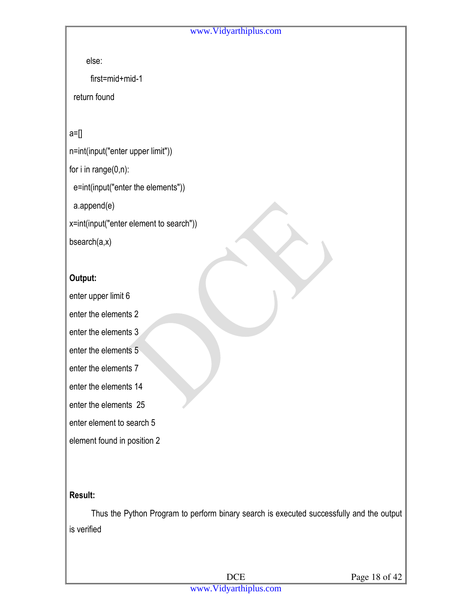else:

first=mid+mid-1

return found

a=[]

n=int(input("enter upper limit"))

for i in range(0,n):

e=int(input("enter the elements"))

a.append(e)

x=int(input("enter element to search"))

bsearch(a,x)

#### **Output:**

enter upper limit 6

enter the elements 2

- enter the elements 3
- enter the elements 5
- enter the elements 7
- enter the elements 14

enter the elements 25

enter element to search 5

element found in position 2

#### **Result:**

Thus the Python Program to perform binary search is executed successfully and the output is verified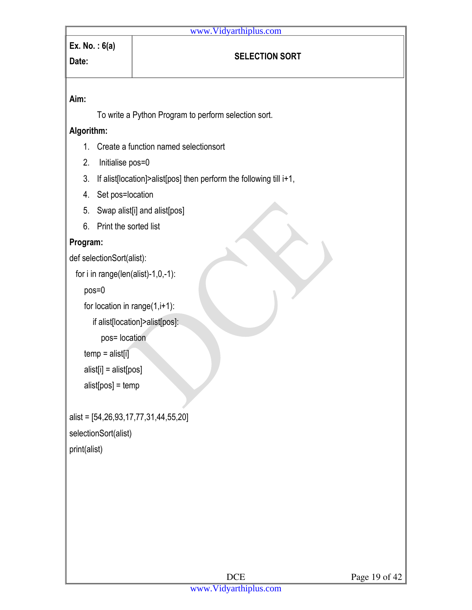# **Ex. No. : 6(a)**

# **Date:** *SELECTION SORT*

#### **Aim:**

To write a Python Program to perform selection sort.

#### **Algorithm:**

- 1. Create a function named selectionsort
- 2. Initialise pos=0
- 3. If alist[location]>alist[pos] then perform the following till i+1,
- 4. Set pos=location
- 5. Swap alist[i] and alist[pos]
- 6. Print the sorted list

#### **Program:**

def selectionSort(alist):

```
 for i in range(len(alist)-1,0,-1):
```
pos=0

```
for location in range(1,i+1):
```

```
 if alist[location]>alist[pos]:
```

```
 pos= location
```

```
temp = alist[i]
```

```
 alist[i] = alist[pos]
```

```
 alist[pos] = temp
```

```
alist = [54,26,93,17,77,31,44,55,20] 
selectionSort(alist) 
print(alist)
```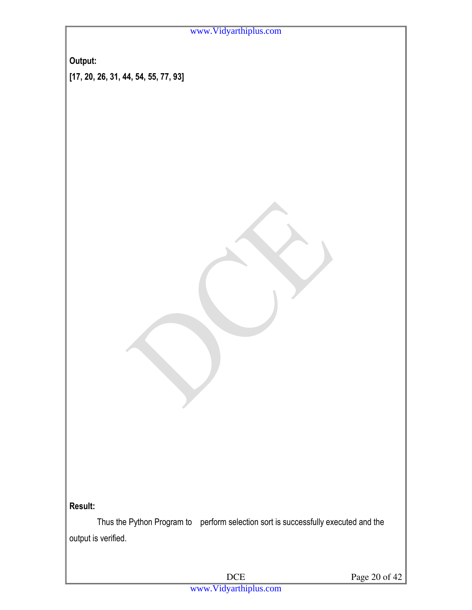**Output: [17, 20, 26, 31, 44, 54, 55, 77, 93]**

#### **Result:**

 Thus the Python Program to perform selection sort is successfully executed and the output is verified.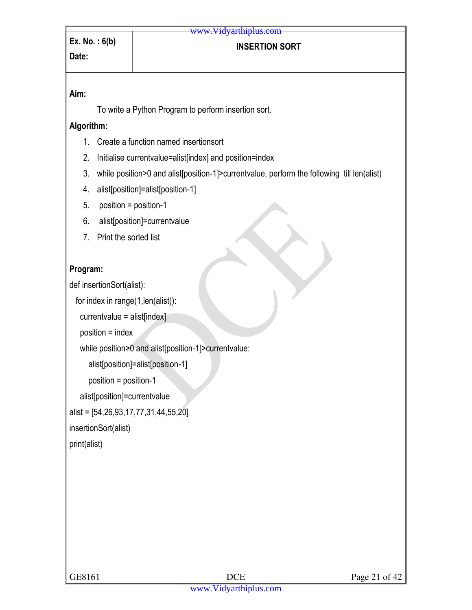#### **INSERTION SORT**

#### **Aim:**

To write a Python Program to perform insertion sort.

#### **Algorithm:**

- 1. Create a function named insertionsort
- 2. Initialise currentvalue=alist[index] and position=index
- 3. while position>0 and alist[position-1]>currentvalue, perform the following till len(alist)
- 4. alist[position]=alist[position-1]
- 5. position = position-1
- 6. alist[position]=currentvalue
- 7. Print the sorted list

#### **Program:**

def insertionSort(alist):

```
 for index in range(1,len(alist)):
```

```
 currentvalue = alist[index]
```

```
 position = index
```

```
 while position>0 and alist[position-1]>currentvalue:
```

```
 alist[position]=alist[position-1]
```

```
 position = position-1
```

```
 alist[position]=currentvalue
```
alist = [54,26,93,17,77,31,44,55,20]

insertionSort(alist)

print(alist)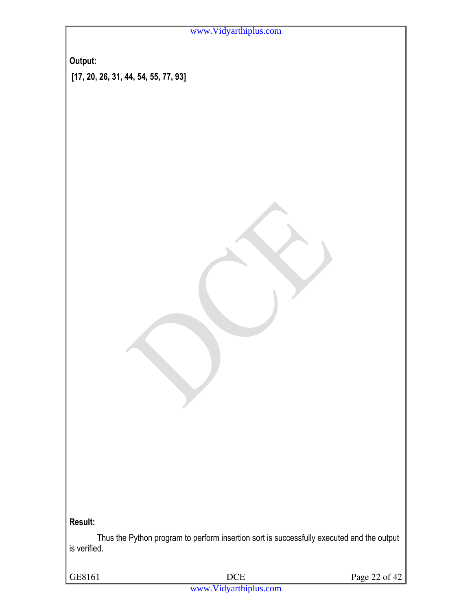**Output:** 

 **[17, 20, 26, 31, 44, 54, 55, 77, 93]** 

**Result:** 

Thus the Python program to perform insertion sort is successfully executed and the output is verified.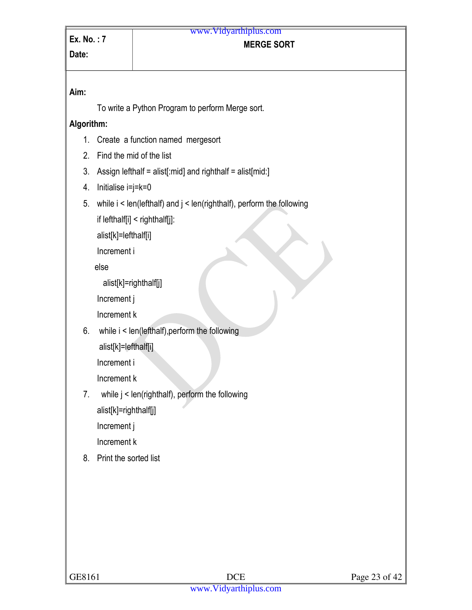#### **MERGE SORT**  www.Vidyarthiplus.com

# **Aim:**

To write a Python Program to perform Merge sort.

#### **Algorithm:**

- 1. Create a function named mergesort
- 2. Find the mid of the list
- 3. Assign lefthalf = alist[:mid] and righthalf = alist[mid:]
- 4. Initialise i=j=k=0
- 5. while i < len(lefthalf) and j < len(righthalf), perform the following

if lefthalf[i] < righthalf[j]:

alist[k]=lefthalf[i]

Increment i

else

```
 alist[k]=righthalf[j]
```
Increment j

Increment k

6. while i < len(lefthalf),perform the following

alist[k]=lefthalf[i]

Increment i

Increment k

7. while j < len(righthalf), perform the following

alist[k]=righthalf[j]

Increment j

Increment k

8. Print the sorted list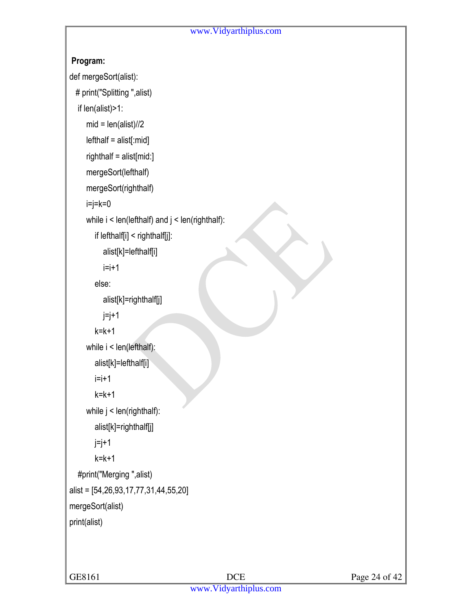#### **Program:**

```
def mergeSort(alist):
```

```
 # print("Splitting ",alist)
```

```
 if len(alist)>1:
```

```
mid = len(alist)/2
```

```
 lefthalf = alist[:mid]
```

```
 righthalf = alist[mid:]
```

```
 mergeSort(lefthalf)
```

```
 mergeSort(righthalf)
```

```
i=j=k=0
```

```
while i < len(lefthalf) and j < len(righthalf):
```

```
 if lefthalf[i] < righthalf[j]:
```

```
 alist[k]=lefthalf[i]
```

```
i=i+1
```

```
 else:
```

```
 alist[k]=righthalf[j]
```

```
j=j+1
```

```
k=k+1
```

```
while i < len(lefthalf):
```

```
 alist[k]=lefthalf[i]
```

```
 i=i+1
```

```
 k=k+1
```

```
while j < len(righthalf):
```

```
 alist[k]=righthalf[j]
```

```
j=j+1
```

```
k=k+1
```

```
 #print("Merging ",alist) 
alist = [54,26,93,17,77,31,44,55,20]
```

```
mergeSort(alist)
```
print(alist)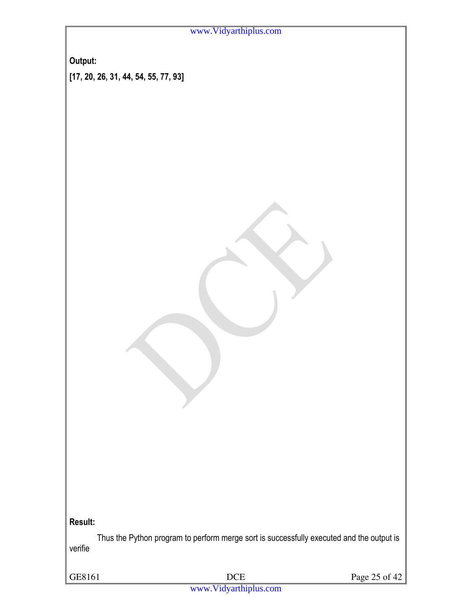|  | www.Vidyarthiplus.com |  |
|--|-----------------------|--|
|--|-----------------------|--|

**Output: [17, 20, 26, 31, 44, 54, 55, 77, 93]** 

**Result:** 

Thus the Python program to perform merge sort is successfully executed and the output is verifie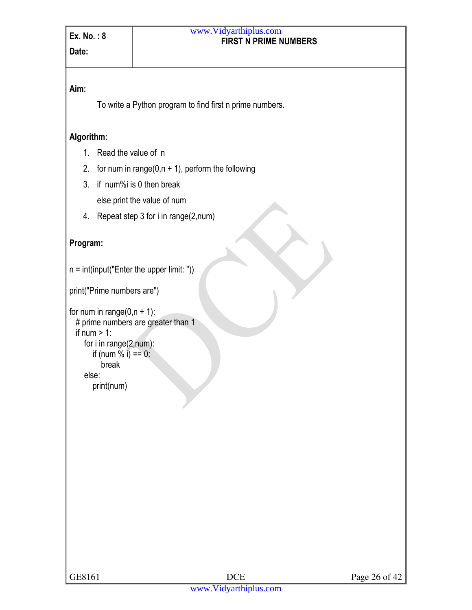#### **FIRST N PRIME NUMBERS**  www.Vidyarthiplus.com

#### **Aim:**

To write a Python program to find first n prime numbers.

#### **Algorithm:**

- 1. Read the value of n
- 2. for num in range( $0, n + 1$ ), perform the following
- 3. if num%i is 0 then break

else print the value of num

4. Repeat step 3 for i in range(2,num)

#### **Program:**

```
n = int(input("Enter the upper limit:"))
```
print("Prime numbers are")

```
for num in range(0, n + 1):
  # prime numbers are greater than 1 
 if num > 1:
     for i in range(2,num): 
       if (num \frac{6}{1} i) == 0:
           break 
     else: 
        print(num)
```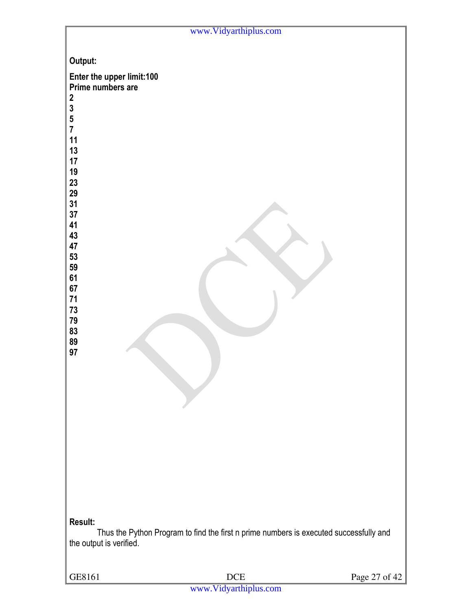|                                                                                                                                                                                                                                                                          | www.Vidyarthiplus.com                                                                  |               |
|--------------------------------------------------------------------------------------------------------------------------------------------------------------------------------------------------------------------------------------------------------------------------|----------------------------------------------------------------------------------------|---------------|
| Output:<br>Enter the upper limit:100<br>Prime numbers are<br>$\boldsymbol{2}$<br>$\begin{array}{c} 3 \\ 5 \\ 7 \end{array}$<br>11<br>13<br>17<br>19<br>23<br>29<br>31<br>37<br>41<br>43<br>47<br>53<br>59<br>61<br>67<br>$71$<br>$73$<br>79<br>83<br>89<br>97<br>Result: | Thus the Python Program to find the first n prime numbers is executed successfully and |               |
| the output is verified.                                                                                                                                                                                                                                                  |                                                                                        |               |
| GE8161                                                                                                                                                                                                                                                                   | $\rm DCE$                                                                              | Page 27 of 42 |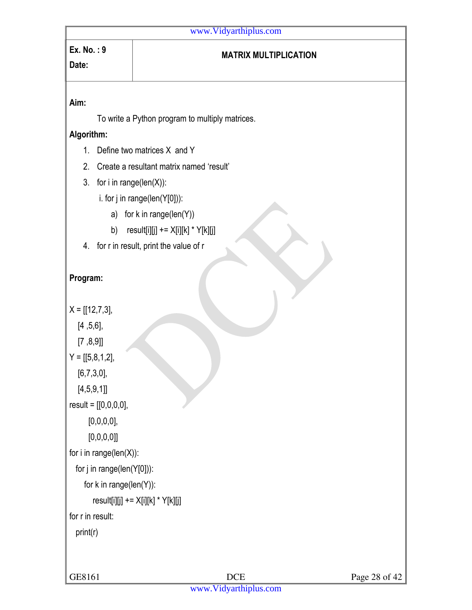# **Ex. No. : 9**

#### **MATRIX MULTIPLICATION**

#### **Aim:**

**Date:** 

To write a Python program to multiply matrices.

#### **Algorithm:**

- 1. Define two matrices X and Y
- 2. Create a resultant matrix named 'result'
- 3. for i in range(len(X)):
	- i. for j in range(len(Y[0])):
		- a) for k in range(len(Y))
		- b)  $result[i][j] += X[i][k] * Y[k][j]$
- 4. for r in result, print the value of r

#### **Program:**

```
X = [[12,7,3], [4 ,5,6], 
  [7, 8, 9]Y = [[5, 8, 1, 2], [6,7,3,0], 
   [4,5,9,1]] 
result = [[0,0,0,0], 
      [0,0,0,0],
      [0,0,0,0]for i in range(len(X)): 
   for j in range(len(Y[0])): 
      for k in range(len(Y)): 
        result[i][j] += X[i][k] * Y[k][j]for r in result: 
   print(r)
```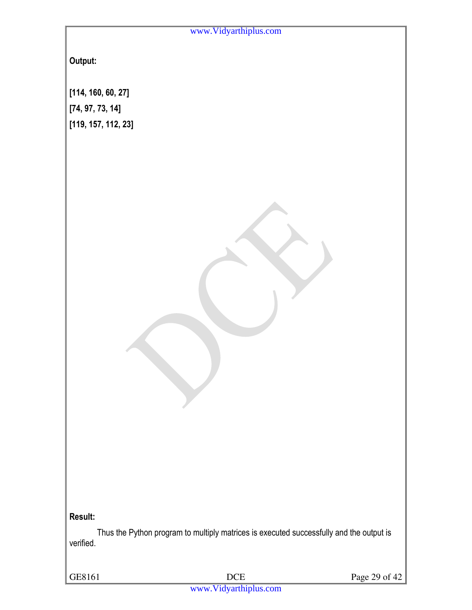**Output:** 

**[114, 160, 60, 27] [74, 97, 73, 14] [119, 157, 112, 23]** 

**Result:** 

Thus the Python program to multiply matrices is executed successfully and the output is verified.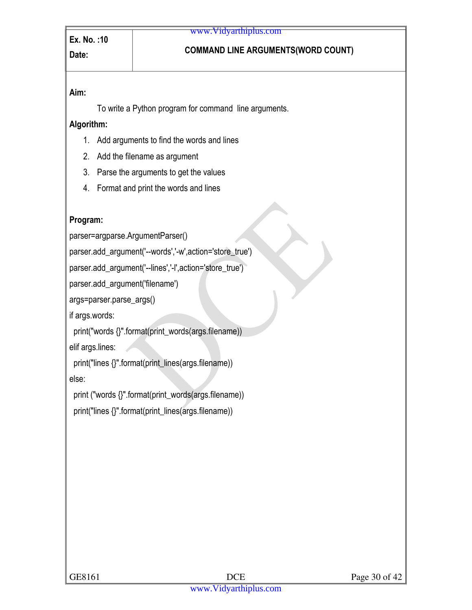# Date: **Date: COMMAND LINE ARGUMENTS(WORD COUNT)**

#### **Aim:**

To write a Python program for command line arguments.

#### **Algorithm:**

- 1. Add arguments to find the words and lines
- 2. Add the filename as argument
- 3. Parse the arguments to get the values
- 4. Format and print the words and lines

#### **Program:**

parser=argparse.ArgumentParser()

parser.add\_argument('--words','-w',action='store\_true')

parser.add\_argument('--lines','-l',action='store\_true')

parser.add\_argument('filename')

args=parser.parse\_args()

if args.words:

print("words {}".format(print\_words(args.filename))

elif args.lines:

print("lines {}".format(print\_lines(args.filename))

else:

print ("words {}".format(print\_words(args.filename))

print("lines {}".format(print\_lines(args.filename))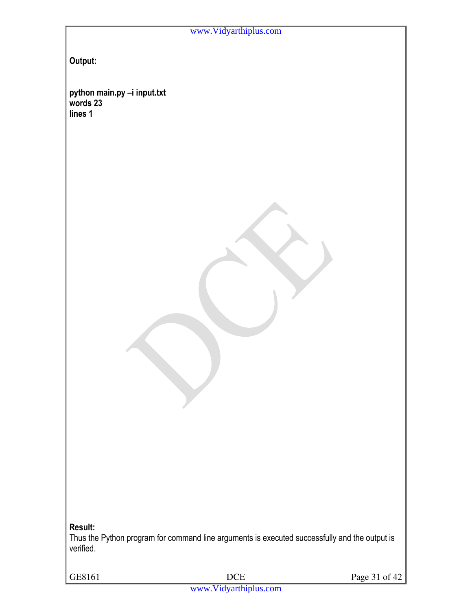**Output:** 

**python main.py –i input.txt words 23 lines 1** 

**Result:** 

Thus the Python program for command line arguments is executed successfully and the output is verified.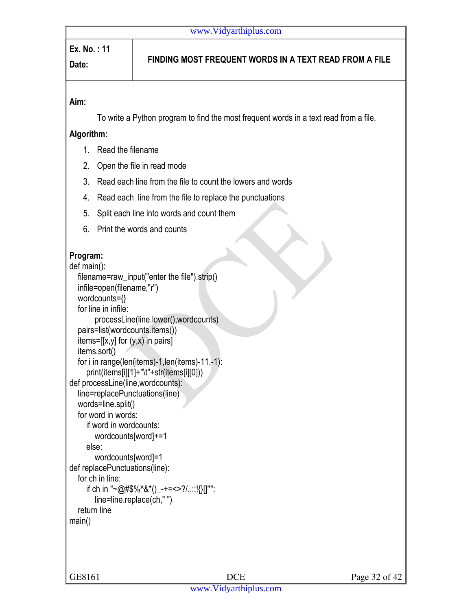# **Ex. No. : 11**

# **Date: FINDING MOST FREQUENT WORDS IN A TEXT READ FROM A FILE**

#### **Aim:**

To write a Python program to find the most frequent words in a text read from a file.

#### **Algorithm:**

- 1. Read the filename
- 2. Open the file in read mode
- 3. Read each line from the file to count the lowers and words
- 4. Read each line from the file to replace the punctuations
- 5. Split each line into words and count them
- 6. Print the words and counts

#### **Program:**

```
def main(): 
   filename=raw_input("enter the file").strip() 
   infile=open(filename,"r") 
   wordcounts={} 
   for line in infile: 
         processLine(line.lower(),wordcounts) 
   pairs=list(wordcounts.items()) 
  items=[[x,y] for (y,x) in pairs]
   items.sort() 
   for i in range(len(items)-1,len(items)-11,-1): 
      print(items[i][1]+"\t"+str(items[i][0])) 
def processLine(line,wordcounts): 
   line=replacePunctuations(line) 
   words=line.split() 
   for word in words: 
      if word in wordcounts: 
         wordcounts[word]+=1 
      else: 
         wordcounts[word]=1 
def replacePunctuations(line): 
   for ch in line: 
     if ch in "~@#$%^&*()_-+=<>?/.,::!{}[]"":
         line=line.replace(ch," ") 
   return line 
main()
```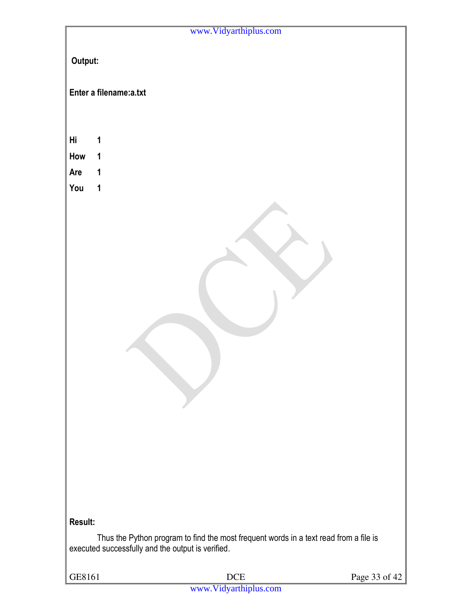|            |                                                   | www.Vidyarthiplus.com                                                                 |               |
|------------|---------------------------------------------------|---------------------------------------------------------------------------------------|---------------|
| Output:    |                                                   |                                                                                       |               |
|            | Enter a filename:a.txt                            |                                                                                       |               |
|            |                                                   |                                                                                       |               |
|            |                                                   |                                                                                       |               |
| Hi         | 1                                                 |                                                                                       |               |
| How<br>Are | $\mathbf 1$<br>1                                  |                                                                                       |               |
| You        | $\mathbf 1$                                       |                                                                                       |               |
|            |                                                   |                                                                                       |               |
|            |                                                   |                                                                                       |               |
|            |                                                   |                                                                                       |               |
|            |                                                   |                                                                                       |               |
|            |                                                   |                                                                                       |               |
|            |                                                   |                                                                                       |               |
|            |                                                   |                                                                                       |               |
|            |                                                   |                                                                                       |               |
|            |                                                   |                                                                                       |               |
|            |                                                   |                                                                                       |               |
|            |                                                   |                                                                                       |               |
|            |                                                   |                                                                                       |               |
|            |                                                   |                                                                                       |               |
|            |                                                   |                                                                                       |               |
|            |                                                   |                                                                                       |               |
|            |                                                   |                                                                                       |               |
|            |                                                   |                                                                                       |               |
|            |                                                   |                                                                                       |               |
| Result:    |                                                   |                                                                                       |               |
|            | executed successfully and the output is verified. | Thus the Python program to find the most frequent words in a text read from a file is |               |
| GE8161     |                                                   | $DCE$                                                                                 | Page 33 of 42 |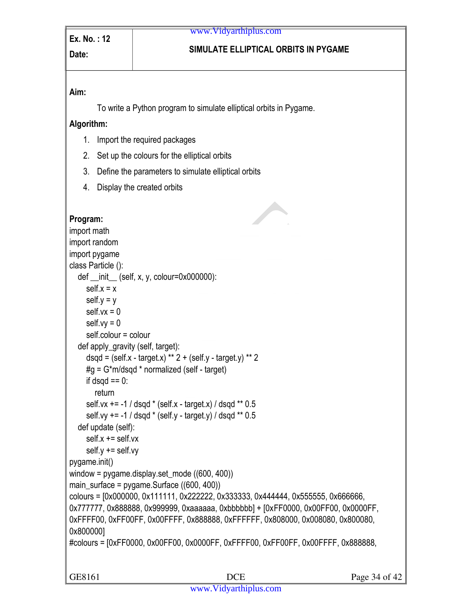# **Date: SIMULATE ELLIPTICAL ORBITS IN PYGAME**

#### **Aim:**

To write a Python program to simulate elliptical orbits in Pygame.

#### **Algorithm:**

- 1. Import the required packages
- 2. Set up the colours for the elliptical orbits
- 3. Define the parameters to simulate elliptical orbits
- 4. Display the created orbits

```
Program: 
import math 
import random 
import pygame 
class Particle (): 
  def \text{__init}\_\text{__}} (self, x, y, colour=0x000000):
    self.x = xself.y = yself.vx = 0self.vy = 0 self.colour = colour 
   def apply_gravity (self, target): 
     dsqd = (self.x - target.x) ** 2 + (self.y - target.y) ** 2#q = G*m/dsqd * normalized (self - target)if dsqd == 0:
        return 
     self.vx += -1 / ds od * (self.x - target.x) / dsqd ** 0.5
     self.vy += -1 / dsqd * (self.y - target.y) / dsqd ** 0.5
   def update (self): 
     self.x += self.vxself.y += self.vypygame.init() 
window = pygame.display.set_mode ((600, 400))main surface = pygame.Surface ((600, 400))colours = [0x000000, 0x111111, 0x222222, 0x333333, 0x444444, 0x555555, 0x666666, 
0x777777, 0x888888, 0x999999, 0xaaaaaa, 0xbbbbbb] + [0xFF0000, 0x00FF00, 0x0000FF, 
0xFFFF00, 0xFF00FF, 0x00FFFF, 0x888888, 0xFFFFFF, 0x808000, 0x008080, 0x800080, 
0x800000] 
#colours = [0xFF0000, 0x00FF00, 0x0000FF, 0xFFFF00, 0xFF00FF, 0x00FFFF, 0x888888,
```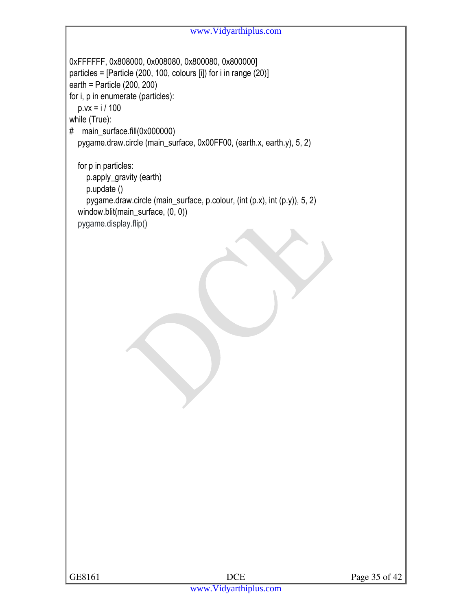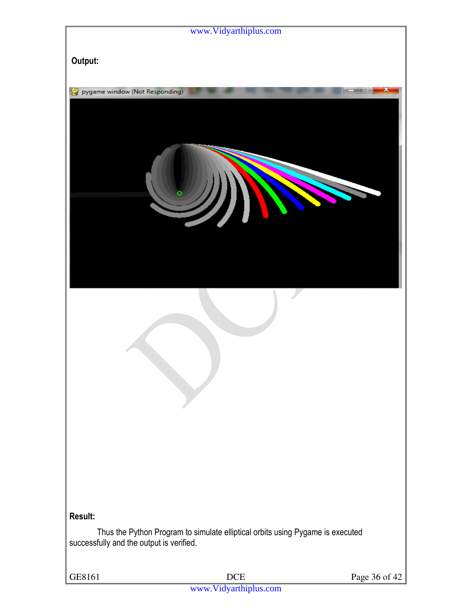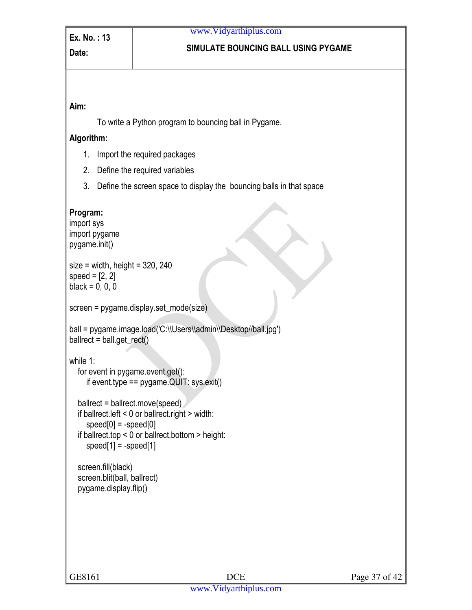#### **Date: SIMULATE BOUNCING BALL USING PYGAME**

#### **Aim:**

To write a Python program to bouncing ball in Pygame.

#### **Algorithm:**

- 1. Import the required packages
- 2. Define the required variables
- 3. Define the screen space to display the bouncing balls in that space

#### **Program:**

import sys import pygame pygame.init()  $size = width$ , height = 320, 240 speed  $= [2, 2]$  $black = 0, 0, 0$ screen = pygame.display.set\_mode(size) ball = pygame.image.load('C:\\Users\\admin\\Desktop//ball.jpg') ballrect = ball.get\_rect() while 1: for event in pygame.event.get(): if event.type == pygame.QUIT: sys.exit() ballrect = ballrect.move(speed) if ballrect.left < 0 or ballrect.right > width:  $speed[0] = -speed[0]$  if ballrect.top < 0 or ballrect.bottom > height:  $speed[1] = -speed[1]$  screen.fill(black) screen.blit(ball, ballrect) pygame.display.flip()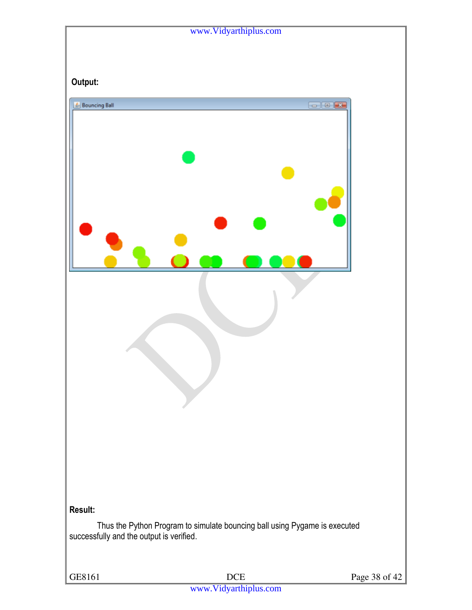|                                          | www.Vidyarthiplus.com                                                      |               |
|------------------------------------------|----------------------------------------------------------------------------|---------------|
|                                          |                                                                            |               |
|                                          |                                                                            |               |
| Output:                                  |                                                                            |               |
|                                          |                                                                            |               |
| <b>Bouncing Ball</b>                     |                                                                            | $\Box$ $\Box$ |
| Result:                                  |                                                                            |               |
| successfully and the output is verified. | Thus the Python Program to simulate bouncing ball using Pygame is executed |               |
|                                          |                                                                            |               |
| GE8161                                   | $DCE$                                                                      | Page 38 of 42 |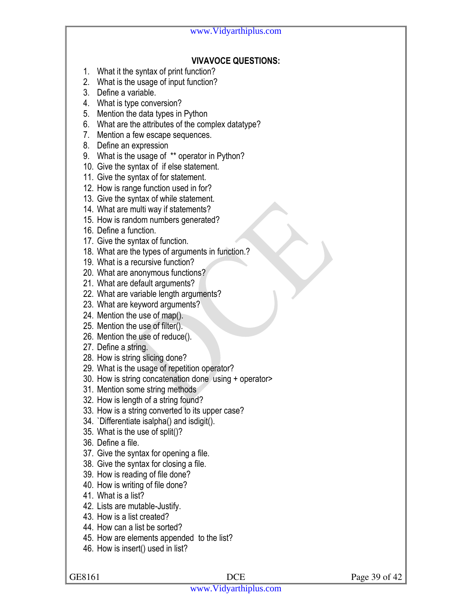#### **VIVAVOCE QUESTIONS:**

- 1. What it the syntax of print function?
- 2. What is the usage of input function?
- 3. Define a variable.
- 4. What is type conversion?
- 5. Mention the data types in Python
- 6. What are the attributes of the complex datatype?
- 7. Mention a few escape sequences.
- 8. Define an expression
- 9. What is the usage of \*\* operator in Python?
- 10. Give the syntax of if else statement.
- 11. Give the syntax of for statement.
- 12. How is range function used in for?
- 13. Give the syntax of while statement.
- 14. What are multi way if statements?
- 15. How is random numbers generated?
- 16. Define a function.
- 17. Give the syntax of function.
- 18. What are the types of arguments in function.?
- 19. What is a recursive function?
- 20. What are anonymous functions?
- 21. What are default arguments?
- 22. What are variable length arguments?
- 23. What are keyword arguments?
- 24. Mention the use of map().
- 25. Mention the use of filter().
- 26. Mention the use of reduce().
- 27. Define a string.
- 28. How is string slicing done?
- 29. What is the usage of repetition operator?
- 30. How is string concatenation done using + operator>
- 31. Mention some string methods
- 32. How is length of a string found?
- 33. How is a string converted to its upper case?
- 34. `Differentiate isalpha() and isdigit().
- 35. What is the use of split()?
- 36. Define a file.
- 37. Give the syntax for opening a file.
- 38. Give the syntax for closing a file.
- 39. How is reading of file done?
- 40. How is writing of file done?
- 41. What is a list?
- 42. Lists are mutable-Justify.
- 43. How is a list created?
- 44. How can a list be sorted?
- 45. How are elements appended to the list?
- 46. How is insert() used in list?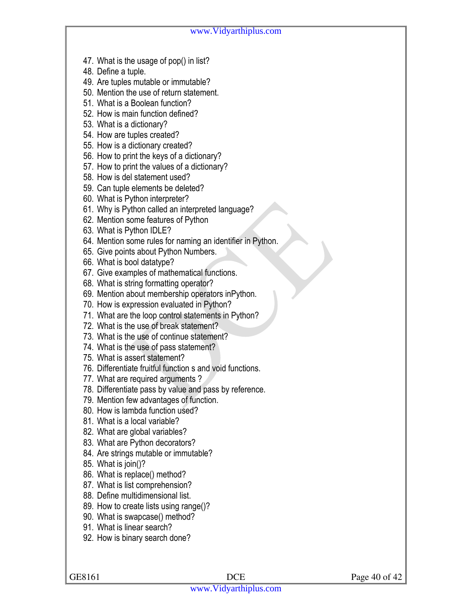- 47. What is the usage of pop() in list?
- 48. Define a tuple.
- 49. Are tuples mutable or immutable?
- 50. Mention the use of return statement.
- 51. What is a Boolean function?
- 52. How is main function defined?
- 53. What is a dictionary?
- 54. How are tuples created?
- 55. How is a dictionary created?
- 56. How to print the keys of a dictionary?
- 57. How to print the values of a dictionary?
- 58. How is del statement used?
- 59. Can tuple elements be deleted?
- 60. What is Python interpreter?
- 61. Why is Python called an interpreted language?
- 62. Mention some features of Python
- 63. What is Python IDLE?
- 64. Mention some rules for naming an identifier in Python.
- 65. Give points about Python Numbers.
- 66. What is bool datatype?
- 67. Give examples of mathematical functions.
- 68. What is string formatting operator?
- 69. Mention about membership operators inPython.
- 70. How is expression evaluated in Python?
- 71. What are the loop control statements in Python?
- 72. What is the use of break statement?
- 73. What is the use of continue statement?
- 74. What is the use of pass statement?
- 75. What is assert statement?
- 76. Differentiate fruitful function s and void functions.
- 77. What are required arguments ?
- 78. Differentiate pass by value and pass by reference.
- 79. Mention few advantages of function.
- 80. How is lambda function used?
- 81. What is a local variable?
- 82. What are global variables?
- 83. What are Python decorators?
- 84. Are strings mutable or immutable?
- 85. What is join()?
- 86. What is replace() method?
- 87. What is list comprehension?
- 88. Define multidimensional list.
- 89. How to create lists using range()?
- 90. What is swapcase() method?
- 91. What is linear search?
- 92. How is binary search done?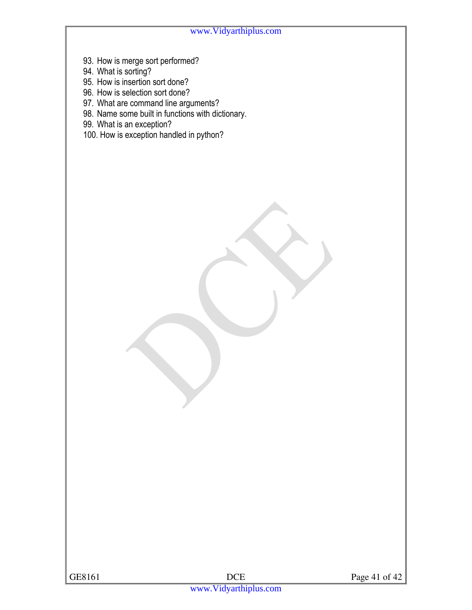- 93. How is merge sort performed?
- 94. What is sorting?
- 95. How is insertion sort done?
- 96. How is selection sort done?
- 97. What are command line arguments?
- 98. Name some built in functions with dictionary.
- 99. What is an exception?
- 100. How is exception handled in python?